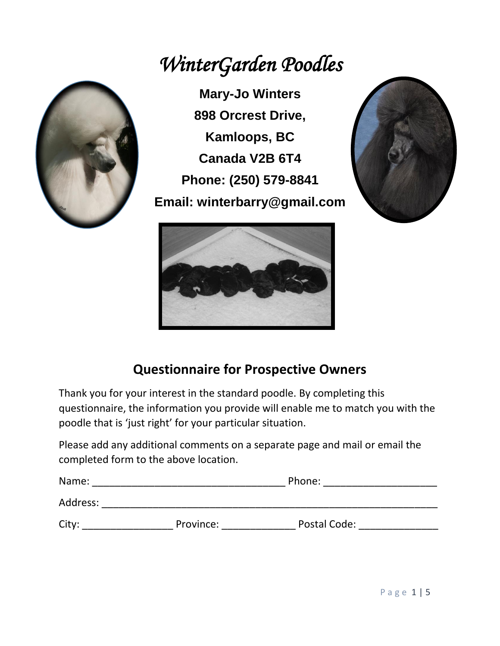## *WinterGarden Poodles*



**Mary-Jo Winters 898 Orcrest Drive, Kamloops, BC Canada V2B 6T4 Phone: (250) 579-8841 Email: winterbarry@gmail.com**





## **Questionnaire for Prospective Owners**

Thank you for your interest in the standard poodle. By completing this questionnaire, the information you provide will enable me to match you with the poodle that is 'just right' for your particular situation.

Please add any additional comments on a separate page and mail or email the completed form to the above location.

| Name:    |           | Phone:       |  |
|----------|-----------|--------------|--|
| Address: |           |              |  |
| City:    | Province: | Postal Code: |  |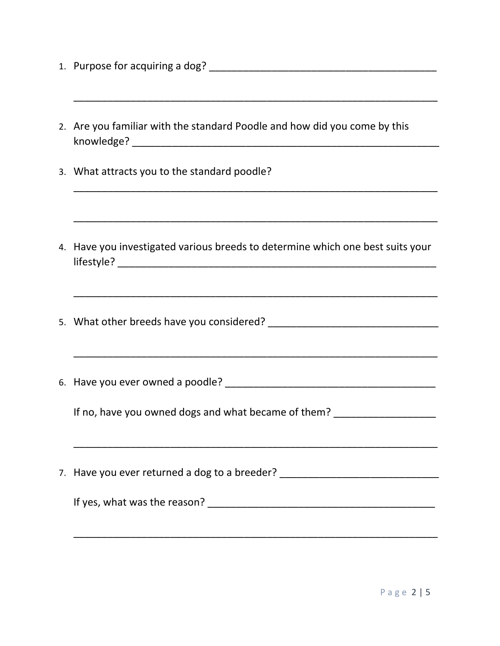- 1. Purpose for acquiring a dog? \_\_\_\_\_\_\_\_\_\_\_\_\_\_\_\_\_\_\_\_\_\_\_\_\_\_\_\_\_\_\_\_\_\_\_\_\_\_\_\_
- 2. Are you familiar with the standard Poodle and how did you come by this knowledge? \_\_\_\_\_\_\_\_\_\_\_\_\_\_\_\_\_\_\_\_\_\_\_\_\_\_\_\_\_\_\_\_\_\_\_\_\_\_\_\_\_\_\_\_\_\_\_\_\_\_\_\_\_\_

\_\_\_\_\_\_\_\_\_\_\_\_\_\_\_\_\_\_\_\_\_\_\_\_\_\_\_\_\_\_\_\_\_\_\_\_\_\_\_\_\_\_\_\_\_\_\_\_\_\_\_\_\_\_\_\_\_\_\_\_\_\_\_\_

\_\_\_\_\_\_\_\_\_\_\_\_\_\_\_\_\_\_\_\_\_\_\_\_\_\_\_\_\_\_\_\_\_\_\_\_\_\_\_\_\_\_\_\_\_\_\_\_\_\_\_\_\_\_\_\_\_\_\_\_\_\_\_\_

\_\_\_\_\_\_\_\_\_\_\_\_\_\_\_\_\_\_\_\_\_\_\_\_\_\_\_\_\_\_\_\_\_\_\_\_\_\_\_\_\_\_\_\_\_\_\_\_\_\_\_\_\_\_\_\_\_\_\_\_\_\_\_\_

\_\_\_\_\_\_\_\_\_\_\_\_\_\_\_\_\_\_\_\_\_\_\_\_\_\_\_\_\_\_\_\_\_\_\_\_\_\_\_\_\_\_\_\_\_\_\_\_\_\_\_\_\_\_\_\_\_\_\_\_\_\_\_\_

- 3. What attracts you to the standard poodle?
- 4. Have you investigated various breeds to determine which one best suits your lifestyle? \_\_\_\_\_\_\_\_\_\_\_\_\_\_\_\_\_\_\_\_\_\_\_\_\_\_\_\_\_\_\_\_\_\_\_\_\_\_\_\_\_\_\_\_\_\_\_\_\_\_\_\_\_\_\_\_
- 5. What other breeds have you considered? \_\_\_\_\_\_\_\_\_\_\_\_\_\_\_\_\_\_\_\_\_\_\_\_\_\_\_\_\_\_
- 6. Have you ever owned a poodle?

\_\_\_\_\_\_\_\_\_\_\_\_\_\_\_\_\_\_\_\_\_\_\_\_\_\_\_\_\_\_\_\_\_\_\_\_\_\_\_\_\_\_\_\_\_\_\_\_\_\_\_\_\_\_\_\_\_\_\_\_\_\_\_\_

If no, have you owned dogs and what became of them? \_\_\_\_\_\_\_\_\_\_\_\_\_\_\_\_\_\_\_\_\_\_\_\_\_\_\_\_

7. Have you ever returned a dog to a breeder? \_\_\_\_\_\_\_\_\_\_\_\_\_\_\_\_\_\_\_\_\_\_\_\_\_\_\_\_\_\_\_\_\_\_

If yes, what was the reason? \_\_\_\_\_\_\_\_\_\_\_\_\_\_\_\_\_\_\_\_\_\_\_\_\_\_\_\_\_\_\_\_\_\_\_\_\_\_\_\_

\_\_\_\_\_\_\_\_\_\_\_\_\_\_\_\_\_\_\_\_\_\_\_\_\_\_\_\_\_\_\_\_\_\_\_\_\_\_\_\_\_\_\_\_\_\_\_\_\_\_\_\_\_\_\_\_\_\_\_\_\_\_\_\_

\_\_\_\_\_\_\_\_\_\_\_\_\_\_\_\_\_\_\_\_\_\_\_\_\_\_\_\_\_\_\_\_\_\_\_\_\_\_\_\_\_\_\_\_\_\_\_\_\_\_\_\_\_\_\_\_\_\_\_\_\_\_\_\_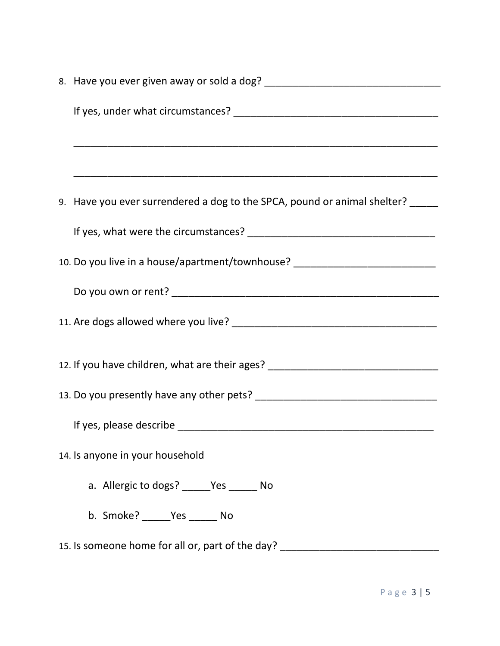| 9. Have you ever surrendered a dog to the SPCA, pound or animal shelter? _____   |
|----------------------------------------------------------------------------------|
|                                                                                  |
| 10. Do you live in a house/apartment/townhouse? ________________________________ |
|                                                                                  |
|                                                                                  |
| 12. If you have children, what are their ages? _________________________________ |
|                                                                                  |
|                                                                                  |
| 14. Is anyone in your household                                                  |
| a. Allergic to dogs? _____Yes ______ No                                          |
| b. Smoke? ______ Yes ______ No                                                   |
| 15. Is someone home for all or, part of the day? ______                          |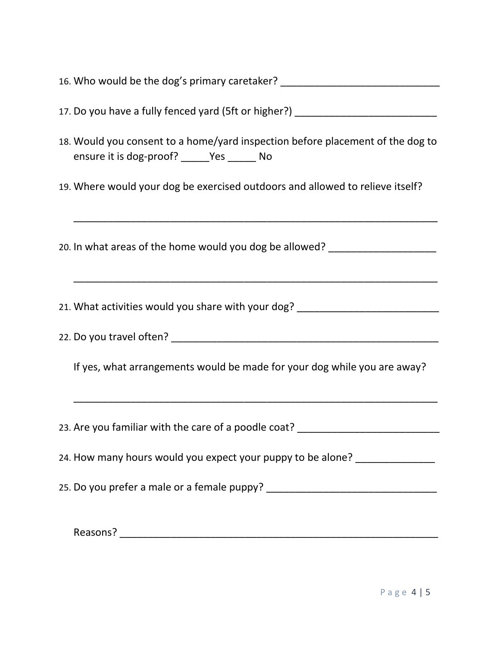| 16. Who would be the dog's primary caretaker? __________________________________                                              |
|-------------------------------------------------------------------------------------------------------------------------------|
| 17. Do you have a fully fenced yard (5ft or higher?) ___________________________                                              |
| 18. Would you consent to a home/yard inspection before placement of the dog to<br>ensure it is dog-proof? ______Yes ______ No |
| 19. Where would your dog be exercised outdoors and allowed to relieve itself?                                                 |
| 20. In what areas of the home would you dog be allowed? ________________________                                              |
| 21. What activities would you share with your dog? _____________________________                                              |
|                                                                                                                               |
| If yes, what arrangements would be made for your dog while you are away?                                                      |
| 23. Are you familiar with the care of a poodle coat? ___________________________                                              |
| 24. How many hours would you expect your puppy to be alone? _______________                                                   |
|                                                                                                                               |
|                                                                                                                               |